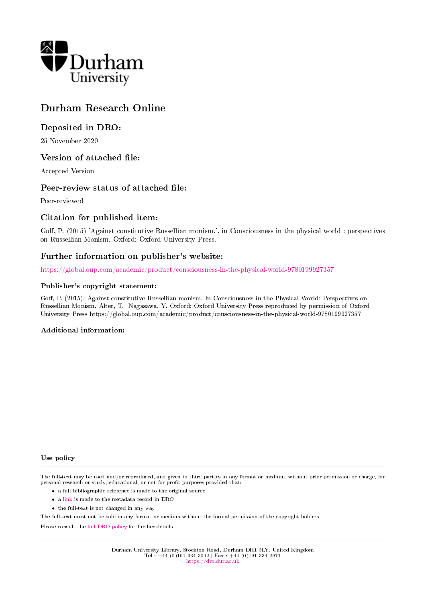

# Durham Research Online

#### Deposited in DRO:

25 November 2020

#### Version of attached file:

Accepted Version

#### Peer-review status of attached file:

Peer-reviewed

#### Citation for published item:

Goff, P. (2015) 'Against constitutive Russellian monism.', in Consciousness in the physical world : perspectives on Russellian Monism. Oxford: Oxford University Press.

#### Further information on publisher's website:

<https://global.oup.com/academic/product/consciousness-in-the-physical-world-9780199927357>

#### Publisher's copyright statement:

Goff, P. (2015). Against constitutive Russellian monism. In Consciousness in the Physical World: Perspectives on Russellian Monism. Alter, T. Nagasawa, Y. Oxford: Oxford University Press reproduced by permission of Oxford University Press https://global.oup.com/academic/product/consciousness-in-the-physical-world-9780199927357

#### Additional information:

Use policy

The full-text may be used and/or reproduced, and given to third parties in any format or medium, without prior permission or charge, for personal research or study, educational, or not-for-profit purposes provided that:

- a full bibliographic reference is made to the original source
- a [link](http://dro.dur.ac.uk/32229/) is made to the metadata record in DRO
- the full-text is not changed in any way

The full-text must not be sold in any format or medium without the formal permission of the copyright holders.

Please consult the [full DRO policy](https://dro.dur.ac.uk/policies/usepolicy.pdf) for further details.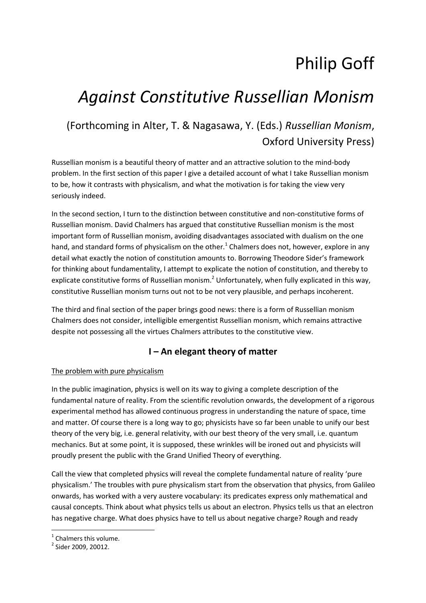# Philip Goff

# *Against Constitutive Russellian Monism*

# (Forthcoming in Alter, T. & Nagasawa, Y. (Eds.) *Russellian Monism*, Oxford University Press)

Russellian monism is a beautiful theory of matter and an attractive solution to the mind-body problem. In the first section of this paper I give a detailed account of what I take Russellian monism to be, how it contrasts with physicalism, and what the motivation is for taking the view very seriously indeed.

In the second section, I turn to the distinction between constitutive and non-constitutive forms of Russellian monism. David Chalmers has argued that constitutive Russellian monism is the most important form of Russellian monism, avoiding disadvantages associated with dualism on the one hand, and standard forms of physicalism on the other.<sup>1</sup> Chalmers does not, however, explore in any detail what exactly the notion of constitution amounts to. Borrowing Theodore Sider's framework for thinking about fundamentality, I attempt to explicate the notion of constitution, and thereby to explicate constitutive forms of Russellian monism.<sup>2</sup> Unfortunately, when fully explicated in this way, constitutive Russellian monism turns out not to be not very plausible, and perhaps incoherent.

The third and final section of the paper brings good news: there is a form of Russellian monism Chalmers does not consider, intelligible emergentist Russellian monism, which remains attractive despite not possessing all the virtues Chalmers attributes to the constitutive view.

### **I – An elegant theory of matter**

#### The problem with pure physicalism

In the public imagination, physics is well on its way to giving a complete description of the fundamental nature of reality. From the scientific revolution onwards, the development of a rigorous experimental method has allowed continuous progress in understanding the nature of space, time and matter. Of course there is a long way to go; physicists have so far been unable to unify our best theory of the very big, i.e. general relativity, with our best theory of the very small, i.e. quantum mechanics. But at some point, it is supposed, these wrinkles will be ironed out and physicists will proudly present the public with the Grand Unified Theory of everything.

Call the view that completed physics will reveal the complete fundamental nature of reality 'pure physicalism.' The troubles with pure physicalism start from the observation that physics, from Galileo onwards, has worked with a very austere vocabulary: its predicates express only mathematical and causal concepts. Think about what physics tells us about an electron. Physics tells us that an electron has negative charge. What does physics have to tell us about negative charge? Rough and ready

**Thalmers this volume.**<br>Thalmers this volume.

<sup>&</sup>lt;sup>2</sup> Sider 2009, 20012.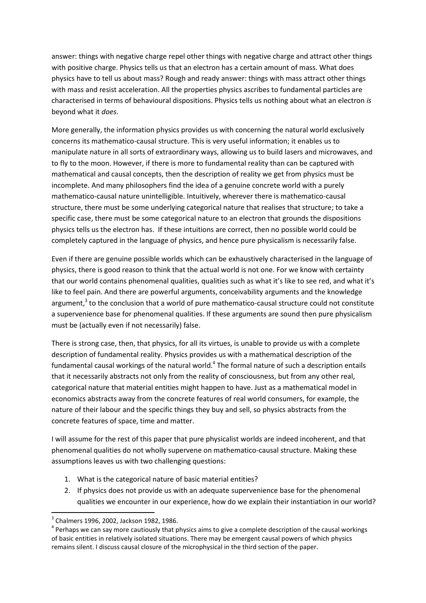answer: things with negative charge repel other things with negative charge and attract other things with positive charge. Physics tells us that an electron has a certain amount of mass. What does physics have to tell us about mass? Rough and ready answer: things with mass attract other things with mass and resist acceleration. All the properties physics ascribes to fundamental particles are characterised in terms of behavioural dispositions. Physics tells us nothing about what an electron *is* beyond what it *does*.

More generally, the information physics provides us with concerning the natural world exclusively concerns its mathematico-causal structure. This is very useful information; it enables us to manipulate nature in all sorts of extraordinary ways, allowing us to build lasers and microwaves, and to fly to the moon. However, if there is more to fundamental reality than can be captured with mathematical and causal concepts, then the description of reality we get from physics must be incomplete. And many philosophers find the idea of a genuine concrete world with a purely mathematico-causal nature unintelligible. Intuitively, wherever there is mathematico-causal structure, there must be some underlying categorical nature that realises that structure; to take a specific case, there must be some categorical nature to an electron that grounds the dispositions physics tells us the electron has. If these intuitions are correct, then no possible world could be completely captured in the language of physics, and hence pure physicalism is necessarily false.

Even if there are genuine possible worlds which can be exhaustively characterised in the language of physics, there is good reason to think that the actual world is not one. For we know with certainty that our world contains phenomenal qualities, qualities such as what it's like to see red, and what it's like to feel pain. And there are powerful arguments, conceivability arguments and the knowledge argument,<sup>3</sup> to the conclusion that a world of pure mathematico-causal structure could not constitute a supervenience base for phenomenal qualities. If these arguments are sound then pure physicalism must be (actually even if not necessarily) false.

There is strong case, then, that physics, for all its virtues, is unable to provide us with a complete description of fundamental reality. Physics provides us with a mathematical description of the fundamental causal workings of the natural world.<sup>4</sup> The formal nature of such a description entails that it necessarily abstracts not only from the reality of consciousness, but from any other real, categorical nature that material entities might happen to have. Just as a mathematical model in economics abstracts away from the concrete features of real world consumers, for example, the nature of their labour and the specific things they buy and sell, so physics abstracts from the concrete features of space, time and matter.

I will assume for the rest of this paper that pure physicalist worlds are indeed incoherent, and that phenomenal qualities do not wholly supervene on mathematico-causal structure. Making these assumptions leaves us with two challenging questions:

- 1. What is the categorical nature of basic material entities?
- 2. If physics does not provide us with an adequate supervenience base for the phenomenal qualities we encounter in our experience, how do we explain their instantiation in our world?

<sup>3</sup> Chalmers 1996, 2002, Jackson 1982, 1986.

 $<sup>4</sup>$  Perhaps we can say more cautiously that physics aims to give a complete description of the causal workings</sup> of basic entities in relatively isolated situations. There may be emergent causal powers of which physics remains silent. I discuss causal closure of the microphysical in the third section of the paper.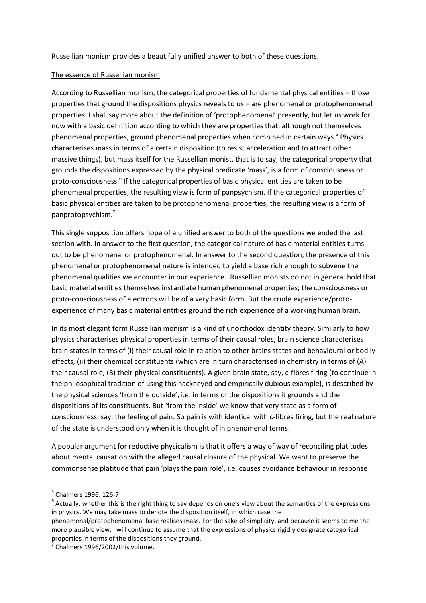Russellian monism provides a beautifully unified answer to both of these questions.

#### The essence of Russellian monism

According to Russellian monism, the categorical properties of fundamental physical entities – those properties that ground the dispositions physics reveals to us – are phenomenal or protophenomenal properties. I shall say more about the definition of 'protophenomenal' presently, but let us work for now with a basic definition according to which they are properties that, although not themselves phenomenal properties, ground phenomenal properties when combined in certain ways.<sup>5</sup> Physics characterises mass in terms of a certain disposition (to resist acceleration and to attract other massive things), but mass itself for the Russellian monist, that is to say, the categorical property that grounds the dispositions expressed by the physical predicate 'mass', is a form of consciousness or proto-consciousness.<sup>6</sup> If the categorical properties of basic physical entities are taken to be phenomenal properties, the resulting view is form of panpsychism. If the categorical properties of basic physical entities are taken to be protophenomenal properties, the resulting view is a form of panprotopsychism.<sup>7</sup>

This single supposition offers hope of a unified answer to both of the questions we ended the last section with. In answer to the first question, the categorical nature of basic material entities turns out to be phenomenal or protophenomenal. In answer to the second question, the presence of this phenomenal or protophenomenal nature is intended to yield a base rich enough to subvene the phenomenal qualities we encounter in our experience. Russellian monists do not in general hold that basic material entities themselves instantiate human phenomenal properties; the consciousness or proto-consciousness of electrons will be of a very basic form. But the crude experience/protoexperience of many basic material entities ground the rich experience of a working human brain.

In its most elegant form Russellian monism is a kind of unorthodox identity theory. Similarly to how physics characterises physical properties in terms of their causal roles, brain science characterises brain states in terms of (i) their causal role in relation to other brains states and behavioural or bodily effects, (ii) their chemical constituents (which are in turn characterised in chemistry in terms of (A) their causal role, (B) their physical constituents). A given brain state, say, c-fibres firing (to continue in the philosophical tradition of using this hackneyed and empirically dubious example), is described by the physical sciences 'from the outside', i.e. in terms of the dispositions it grounds and the dispositions of its constituents. But 'from the inside' we know that very state as a form of consciousness, say, the feeling of pain. So pain is with identical with c-fibres firing, but the real nature of the state is understood only when it is thought of in phenomenal terms.

A popular argument for reductive physicalism is that it offers a way of way of reconciling platitudes about mental causation with the alleged causal closure of the physical. We want to preserve the commonsense platitude that pain 'plays the pain role', i.e. causes avoidance behaviour in response

 $\overline{a}$ 

<sup>5</sup> Chalmers 1996: 126-7

 $^6$  Actually, whether this is the right thing to say depends on one's view about the semantics of the expressions in physics. We may take mass to denote the disposition itself, in which case the

phenomenal/protophenomenal base realises mass. For the sake of simplicity, and because it seems to me the more plausible view, I will continue to assume that the expressions of physics rigidly designate categorical properties in terms of the dispositions they ground.

 $<sup>7</sup>$  Chalmers 1996/2002/this volume.</sup>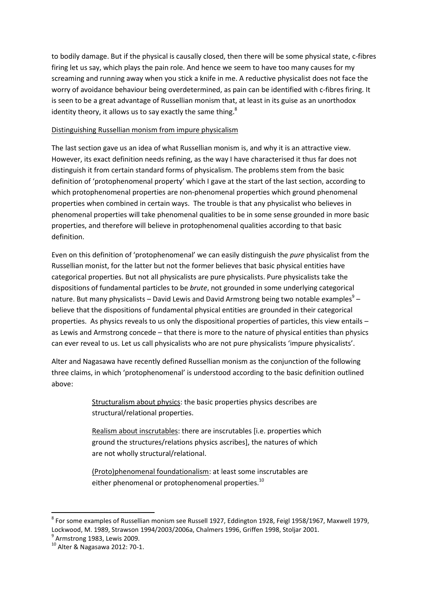to bodily damage. But if the physical is causally closed, then there will be some physical state, c-fibres firing let us say, which plays the pain role. And hence we seem to have too many causes for my screaming and running away when you stick a knife in me. A reductive physicalist does not face the worry of avoidance behaviour being overdetermined, as pain can be identified with c-fibres firing. It is seen to be a great advantage of Russellian monism that, at least in its guise as an unorthodox identity theory, it allows us to say exactly the same thing. $^8$ 

#### Distinguishing Russellian monism from impure physicalism

The last section gave us an idea of what Russellian monism is, and why it is an attractive view. However, its exact definition needs refining, as the way I have characterised it thus far does not distinguish it from certain standard forms of physicalism. The problems stem from the basic definition of 'protophenomenal property' which I gave at the start of the last section, according to which protophenomenal properties are non-phenomenal properties which ground phenomenal properties when combined in certain ways. The trouble is that any physicalist who believes in phenomenal properties will take phenomenal qualities to be in some sense grounded in more basic properties, and therefore will believe in protophenomenal qualities according to that basic definition.

Even on this definition of 'protophenomenal' we can easily distinguish the *pure* physicalist from the Russellian monist, for the latter but not the former believes that basic physical entities have categorical properties. But not all physicalists are pure physicalists. Pure physicalists take the dispositions of fundamental particles to be *brute*, not grounded in some underlying categorical nature. But many physicalists – David Lewis and David Armstrong being two notable examples<sup>9</sup> – believe that the dispositions of fundamental physical entities are grounded in their categorical properties. As physics reveals to us only the dispositional properties of particles, this view entails – as Lewis and Armstrong concede – that there is more to the nature of physical entities than physics can ever reveal to us. Let us call physicalists who are not pure physicalists 'impure physicalists'.

Alter and Nagasawa have recently defined Russellian monism as the conjunction of the following three claims, in which 'protophenomenal' is understood according to the basic definition outlined above:

> Structuralism about physics: the basic properties physics describes are structural/relational properties.

Realism about inscrutables: there are inscrutables [i.e. properties which ground the structures/relations physics ascribes], the natures of which are not wholly structural/relational.

(Proto)phenomenal foundationalism: at least some inscrutables are either phenomenal or protophenomenal properties.<sup>10</sup>

<sup>8</sup> For some examples of Russellian monism see Russell 1927, Eddington 1928, Feigl 1958/1967, Maxwell 1979, Lockwood, M. 1989, Strawson 1994/2003/2006a, Chalmers 1996, Griffen 1998, Stoljar 2001.

 $^9$  Armstrong 1983, Lewis 2009.

<sup>10</sup> Alter & Nagasawa 2012: 70-1.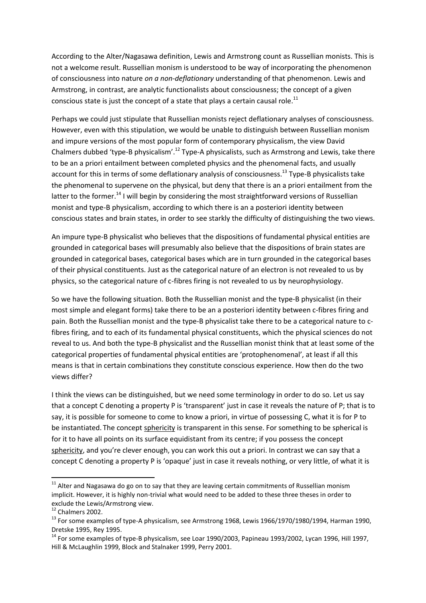According to the Alter/Nagasawa definition, Lewis and Armstrong count as Russellian monists. This is not a welcome result. Russellian monism is understood to be way of incorporating the phenomenon of consciousness into nature *on a non-deflationary* understanding of that phenomenon. Lewis and Armstrong, in contrast, are analytic functionalists about consciousness; the concept of a given conscious state is just the concept of a state that plays a certain causal role.<sup>11</sup>

Perhaps we could just stipulate that Russellian monists reject deflationary analyses of consciousness. However, even with this stipulation, we would be unable to distinguish between Russellian monism and impure versions of the most popular form of contemporary physicalism, the view David Chalmers dubbed 'type-B physicalism'.<sup>12</sup> Type-A physicalists, such as Armstrong and Lewis, take there to be an a priori entailment between completed physics and the phenomenal facts, and usually account for this in terms of some deflationary analysis of consciousness.<sup>13</sup> Type-B physicalists take the phenomenal to supervene on the physical, but deny that there is an a priori entailment from the latter to the former.<sup>14</sup> I will begin by considering the most straightforward versions of Russellian monist and type-B physicalism, according to which there is an a posteriori identity between conscious states and brain states, in order to see starkly the difficulty of distinguishing the two views.

An impure type-B physicalist who believes that the dispositions of fundamental physical entities are grounded in categorical bases will presumably also believe that the dispositions of brain states are grounded in categorical bases, categorical bases which are in turn grounded in the categorical bases of their physical constituents. Just as the categorical nature of an electron is not revealed to us by physics, so the categorical nature of c-fibres firing is not revealed to us by neurophysiology.

So we have the following situation. Both the Russellian monist and the type-B physicalist (in their most simple and elegant forms) take there to be an a posteriori identity between c-fibres firing and pain. Both the Russellian monist and the type-B physicalist take there to be a categorical nature to cfibres firing, and to each of its fundamental physical constituents, which the physical sciences do not reveal to us. And both the type-B physicalist and the Russellian monist think that at least some of the categorical properties of fundamental physical entities are 'protophenomenal', at least if all this means is that in certain combinations they constitute conscious experience. How then do the two views differ?

I think the views can be distinguished, but we need some terminology in order to do so. Let us say that a concept C denoting a property P is 'transparent' just in case it reveals the nature of P; that is to say, it is possible for someone to come to know a priori, in virtue of possessing C, what it is for P to be instantiated. The concept sphericity is transparent in this sense. For something to be spherical is for it to have all points on its surface equidistant from its centre; if you possess the concept sphericity, and you're clever enough, you can work this out a priori. In contrast we can say that a concept C denoting a property P is 'opaque' just in case it reveals nothing, or very little, of what it is

 $11$  Alter and Nagasawa do go on to say that they are leaving certain commitments of Russellian monism implicit. However, it is highly non-trivial what would need to be added to these three theses in order to exclude the Lewis/Armstrong view.

<sup>12</sup> Chalmers 2002.

<sup>&</sup>lt;sup>13</sup> For some examples of type-A physicalism, see Armstrong 1968, Lewis 1966/1970/1980/1994, Harman 1990, Dretske 1995, Rey 1995.

<sup>&</sup>lt;sup>14</sup> For some examples of type-B physicalism, see Loar 1990/2003, Papineau 1993/2002, Lycan 1996, Hill 1997, Hill & McLaughlin 1999, Block and Stalnaker 1999, Perry 2001.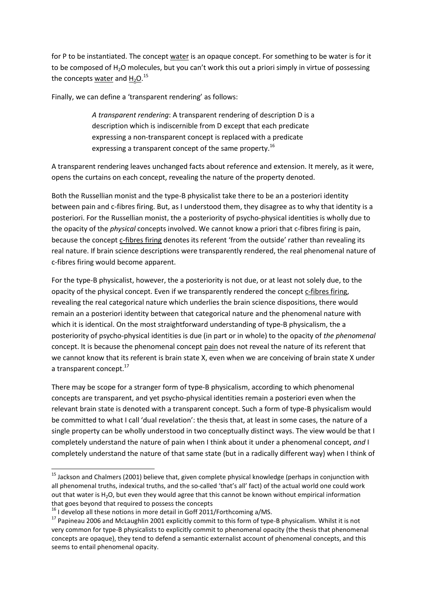for P to be instantiated. The concept water is an opaque concept. For something to be water is for it to be composed of H<sub>2</sub>O molecules, but you can't work this out a priori simply in virtue of possessing the concepts <u>water</u> and  $H_2O$ .<sup>15</sup>

Finally, we can define a 'transparent rendering' as follows:

*A transparent rendering*: A transparent rendering of description D is a description which is indiscernible from D except that each predicate expressing a non-transparent concept is replaced with a predicate expressing a transparent concept of the same property.<sup>16</sup>

A transparent rendering leaves unchanged facts about reference and extension. It merely, as it were, opens the curtains on each concept, revealing the nature of the property denoted.

Both the Russellian monist and the type-B physicalist take there to be an a posteriori identity between pain and c-fibres firing. But, as I understood them, they disagree as to why that identity is a posteriori. For the Russellian monist, the a posteriority of psycho-physical identities is wholly due to the opacity of the *physical* concepts involved. We cannot know a priori that c-fibres firing is pain, because the concept c-fibres firing denotes its referent 'from the outside' rather than revealing its real nature. If brain science descriptions were transparently rendered, the real phenomenal nature of c-fibres firing would become apparent.

For the type-B physicalist, however, the a posteriority is not due, or at least not solely due, to the opacity of the physical concept. Even if we transparently rendered the concept c-fibres firing, revealing the real categorical nature which underlies the brain science dispositions, there would remain an a posteriori identity between that categorical nature and the phenomenal nature with which it is identical. On the most straightforward understanding of type-B physicalism, the a posteriority of psycho-physical identities is due (in part or in whole) to the opacity of *the phenomenal*  concept. It is because the phenomenal concept pain does not reveal the nature of its referent that we cannot know that its referent is brain state X, even when we are conceiving of brain state X under a transparent concept.<sup>17</sup>

There may be scope for a stranger form of type-B physicalism, according to which phenomenal concepts are transparent, and yet psycho-physical identities remain a posteriori even when the relevant brain state is denoted with a transparent concept. Such a form of type-B physicalism would be committed to what I call 'dual revelation': the thesis that, at least in some cases, the nature of a single property can be wholly understood in two conceptually distinct ways. The view would be that I completely understand the nature of pain when I think about it under a phenomenal concept, *and* I completely understand the nature of that same state (but in a radically different way) when I think of

<sup>1</sup> <sup>15</sup> Jackson and Chalmers (2001) believe that, given complete physical knowledge (perhaps in conjunction with all phenomenal truths, indexical truths, and the so-called 'that's all' fact) of the actual world one could work out that water is  $H_2O$ , but even they would agree that this cannot be known without empirical information that goes beyond that required to possess the concepts

 $16$  I develop all these notions in more detail in Goff 2011/Forthcoming a/MS.

<sup>&</sup>lt;sup>17</sup> Papineau 2006 and McLaughlin 2001 explicitly commit to this form of type-B physicalism. Whilst it is not very common for type-B physicalists to explicitly commit to phenomenal opacity (the thesis that phenomenal concepts are opaque), they tend to defend a semantic externalist account of phenomenal concepts, and this seems to entail phenomenal opacity.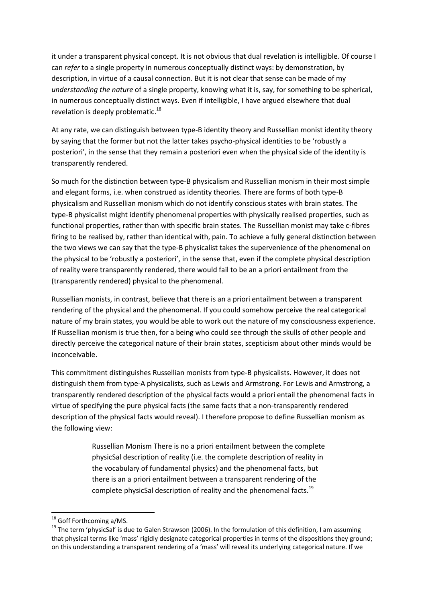it under a transparent physical concept. It is not obvious that dual revelation is intelligible. Of course I can *refer* to a single property in numerous conceptually distinct ways: by demonstration, by description, in virtue of a causal connection. But it is not clear that sense can be made of my *understanding the nature* of a single property, knowing what it is, say, for something to be spherical, in numerous conceptually distinct ways. Even if intelligible, I have argued elsewhere that dual revelation is deeply problematic.<sup>18</sup>

At any rate, we can distinguish between type-B identity theory and Russellian monist identity theory by saying that the former but not the latter takes psycho-physical identities to be 'robustly a posteriori', in the sense that they remain a posteriori even when the physical side of the identity is transparently rendered.

So much for the distinction between type-B physicalism and Russellian monism in their most simple and elegant forms, i.e. when construed as identity theories. There are forms of both type-B physicalism and Russellian monism which do not identify conscious states with brain states. The type-B physicalist might identify phenomenal properties with physically realised properties, such as functional properties, rather than with specific brain states. The Russellian monist may take c-fibres firing to be realised by, rather than identical with, pain. To achieve a fully general distinction between the two views we can say that the type-B physicalist takes the supervenience of the phenomenal on the physical to be 'robustly a posteriori', in the sense that, even if the complete physical description of reality were transparently rendered, there would fail to be an a priori entailment from the (transparently rendered) physical to the phenomenal.

Russellian monists, in contrast, believe that there is an a priori entailment between a transparent rendering of the physical and the phenomenal. If you could somehow perceive the real categorical nature of my brain states, you would be able to work out the nature of my consciousness experience. If Russellian monism is true then, for a being who could see through the skulls of other people and directly perceive the categorical nature of their brain states, scepticism about other minds would be inconceivable.

This commitment distinguishes Russellian monists from type-B physicalists. However, it does not distinguish them from type-A physicalists, such as Lewis and Armstrong. For Lewis and Armstrong, a transparently rendered description of the physical facts would a priori entail the phenomenal facts in virtue of specifying the pure physical facts (the same facts that a non-transparently rendered description of the physical facts would reveal). I therefore propose to define Russellian monism as the following view:

> Russellian Monism There is no a priori entailment between the complete physicSal description of reality (i.e. the complete description of reality in the vocabulary of fundamental physics) and the phenomenal facts, but there is an a priori entailment between a transparent rendering of the complete physicSal description of reality and the phenomenal facts.<sup>19</sup>

<sup>&</sup>lt;sup>18</sup> Goff Forthcoming a/MS.

<sup>&</sup>lt;sup>19</sup> The term 'physicSal' is due to Galen Strawson (2006). In the formulation of this definition, I am assuming that physical terms like 'mass' rigidly designate categorical properties in terms of the dispositions they ground; on this understanding a transparent rendering of a 'mass' will reveal its underlying categorical nature. If we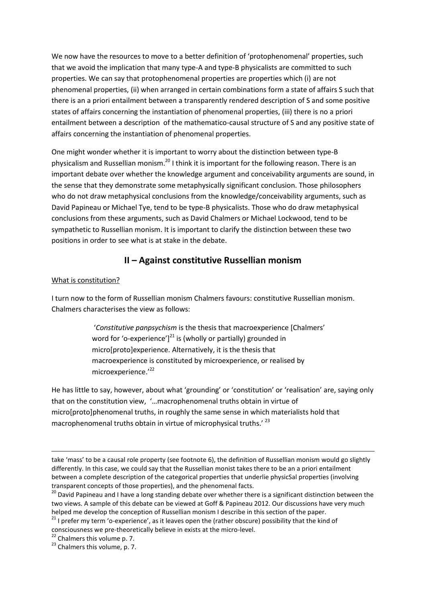We now have the resources to move to a better definition of 'protophenomenal' properties, such that we avoid the implication that many type-A and type-B physicalists are committed to such properties. We can say that protophenomenal properties are properties which (i) are not phenomenal properties, (ii) when arranged in certain combinations form a state of affairs S such that there is an a priori entailment between a transparently rendered description of S and some positive states of affairs concerning the instantiation of phenomenal properties, (iii) there is no a priori entailment between a description of the mathematico-causal structure of S and any positive state of affairs concerning the instantiation of phenomenal properties.

One might wonder whether it is important to worry about the distinction between type-B physicalism and Russellian monism.<sup>20</sup> I think it is important for the following reason. There is an important debate over whether the knowledge argument and conceivability arguments are sound, in the sense that they demonstrate some metaphysically significant conclusion. Those philosophers who do not draw metaphysical conclusions from the knowledge/conceivability arguments, such as David Papineau or Michael Tye, tend to be type-B physicalists. Those who do draw metaphysical conclusions from these arguments, such as David Chalmers or Michael Lockwood, tend to be sympathetic to Russellian monism. It is important to clarify the distinction between these two positions in order to see what is at stake in the debate.

## **II – Against constitutive Russellian monism**

#### What is constitution?

I turn now to the form of Russellian monism Chalmers favours: constitutive Russellian monism. Chalmers characterises the view as follows:

> '*Constitutive panpsychism* is the thesis that macroexperience [Chalmers' word for 'o-experience'] $^{21}$  is (wholly or partially) grounded in micro[proto]experience. Alternatively, it is the thesis that macroexperience is constituted by microexperience, or realised by microexperience.<sup>'22</sup>

He has little to say, however, about what 'grounding' or 'constitution' or 'realisation' are, saying only that on the constitution view, '…macrophenomenal truths obtain in virtue of micro[proto]phenomenal truths, in roughly the same sense in which materialists hold that macrophenomenal truths obtain in virtue of microphysical truths.' 23

1

take 'mass' to be a causal role property (see footnote 6), the definition of Russellian monism would go slightly differently. In this case, we could say that the Russellian monist takes there to be an a priori entailment between a complete description of the categorical properties that underlie physicSal properties (involving transparent concepts of those properties), and the phenomenal facts.

<sup>&</sup>lt;sup>20</sup> David Papineau and I have a long standing debate over whether there is a significant distinction between the two views. A sample of this debate can be viewed at Goff & Papineau 2012. Our discussions have very much helped me develop the conception of Russellian monism I describe in this section of the paper.

 $21$  I prefer my term 'o-experience', as it leaves open the (rather obscure) possibility that the kind of consciousness we pre-theoretically believe in exists at the micro-level.

<sup>&</sup>lt;sup>22</sup> Chalmers this volume p. 7.

 $23$  Chalmers this volume, p. 7.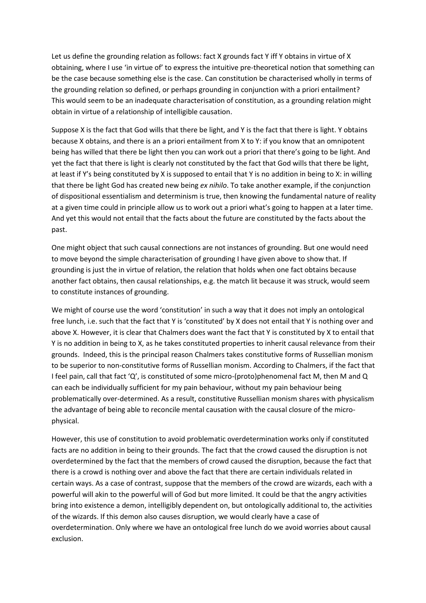Let us define the grounding relation as follows: fact X grounds fact Y iff Y obtains in virtue of X obtaining, where I use 'in virtue of' to express the intuitive pre-theoretical notion that something can be the case because something else is the case. Can constitution be characterised wholly in terms of the grounding relation so defined, or perhaps grounding in conjunction with a priori entailment? This would seem to be an inadequate characterisation of constitution, as a grounding relation might obtain in virtue of a relationship of intelligible causation.

Suppose X is the fact that God wills that there be light, and Y is the fact that there is light. Y obtains because X obtains, and there is an a priori entailment from X to Y: if you know that an omnipotent being has willed that there be light then you can work out a priori that there's going to be light. And yet the fact that there is light is clearly not constituted by the fact that God wills that there be light, at least if Y's being constituted by X is supposed to entail that Y is no addition in being to X: in willing that there be light God has created new being *ex nihilo*. To take another example, if the conjunction of dispositional essentialism and determinism is true, then knowing the fundamental nature of reality at a given time could in principle allow us to work out a priori what's going to happen at a later time. And yet this would not entail that the facts about the future are constituted by the facts about the past.

One might object that such causal connections are not instances of grounding. But one would need to move beyond the simple characterisation of grounding I have given above to show that. If grounding is just the in virtue of relation, the relation that holds when one fact obtains because another fact obtains, then causal relationships, e.g. the match lit because it was struck, would seem to constitute instances of grounding.

We might of course use the word 'constitution' in such a way that it does not imply an ontological free lunch, i.e. such that the fact that Y is 'constituted' by X does not entail that Y is nothing over and above X. However, it is clear that Chalmers does want the fact that Y is constituted by X to entail that Y is no addition in being to X, as he takes constituted properties to inherit causal relevance from their grounds. Indeed, this is the principal reason Chalmers takes constitutive forms of Russellian monism to be superior to non-constitutive forms of Russellian monism. According to Chalmers, if the fact that I feel pain, call that fact 'Q', is constituted of some micro-(proto)phenomenal fact M, then M and Q can each be individually sufficient for my pain behaviour, without my pain behaviour being problematically over-determined. As a result, constitutive Russellian monism shares with physicalism the advantage of being able to reconcile mental causation with the causal closure of the microphysical.

However, this use of constitution to avoid problematic overdetermination works only if constituted facts are no addition in being to their grounds. The fact that the crowd caused the disruption is not overdetermined by the fact that the members of crowd caused the disruption, because the fact that there is a crowd is nothing over and above the fact that there are certain individuals related in certain ways. As a case of contrast, suppose that the members of the crowd are wizards, each with a powerful will akin to the powerful will of God but more limited. It could be that the angry activities bring into existence a demon, intelligibly dependent on, but ontologically additional to, the activities of the wizards. If this demon also causes disruption, we would clearly have a case of overdetermination. Only where we have an ontological free lunch do we avoid worries about causal exclusion.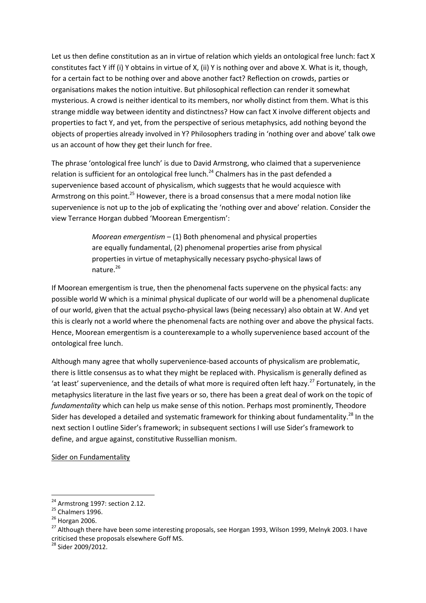Let us then define constitution as an in virtue of relation which yields an ontological free lunch: fact X constitutes fact Y iff (i) Y obtains in virtue of X, (ii) Y is nothing over and above X. What is it, though, for a certain fact to be nothing over and above another fact? Reflection on crowds, parties or organisations makes the notion intuitive. But philosophical reflection can render it somewhat mysterious. A crowd is neither identical to its members, nor wholly distinct from them. What is this strange middle way between identity and distinctness? How can fact X involve different objects and properties to fact Y, and yet, from the perspective of serious metaphysics, add nothing beyond the objects of properties already involved in Y? Philosophers trading in 'nothing over and above' talk owe us an account of how they get their lunch for free.

The phrase 'ontological free lunch' is due to David Armstrong, who claimed that a supervenience relation is sufficient for an ontological free lunch.<sup>24</sup> Chalmers has in the past defended a supervenience based account of physicalism, which suggests that he would acquiesce with Armstrong on this point.<sup>25</sup> However, there is a broad consensus that a mere modal notion like supervenience is not up to the job of explicating the 'nothing over and above' relation. Consider the view Terrance Horgan dubbed 'Moorean Emergentism':

> *Moorean emergentism* – (1) Both phenomenal and physical properties are equally fundamental, (2) phenomenal properties arise from physical properties in virtue of metaphysically necessary psycho-physical laws of nature.<sup>26</sup>

If Moorean emergentism is true, then the phenomenal facts supervene on the physical facts: any possible world W which is a minimal physical duplicate of our world will be a phenomenal duplicate of our world, given that the actual psycho-physical laws (being necessary) also obtain at W. And yet this is clearly not a world where the phenomenal facts are nothing over and above the physical facts. Hence, Moorean emergentism is a counterexample to a wholly supervenience based account of the ontological free lunch.

Although many agree that wholly supervenience-based accounts of physicalism are problematic, there is little consensus as to what they might be replaced with. Physicalism is generally defined as 'at least' supervenience, and the details of what more is required often left hazy.<sup>27</sup> Fortunately, in the metaphysics literature in the last five years or so, there has been a great deal of work on the topic of *fundamentality* which can help us make sense of this notion. Perhaps most prominently, Theodore Sider has developed a detailed and systematic framework for thinking about fundamentality.<sup>28</sup> In the next section I outline Sider's framework; in subsequent sections I will use Sider's framework to define, and argue against, constitutive Russellian monism.

Sider on Fundamentality

 $24$  Armstrong 1997: section 2.12.

 $25$  Chalmers 1996.

<sup>26</sup> Horgan 2006.

<sup>&</sup>lt;sup>27</sup> Although there have been some interesting proposals, see Horgan 1993, Wilson 1999, Melnyk 2003. I have criticised these proposals elsewhere Goff MS.

<sup>28</sup> Sider 2009/2012.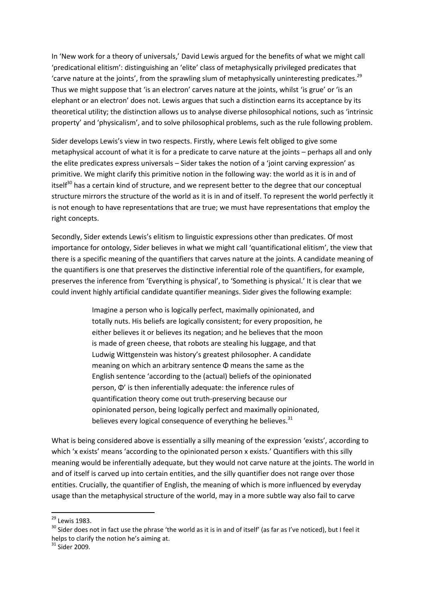In 'New work for a theory of universals,' David Lewis argued for the benefits of what we might call 'predicational elitism': distinguishing an 'elite' class of metaphysically privileged predicates that 'carve nature at the joints', from the sprawling slum of metaphysically uninteresting predicates.<sup>29</sup> Thus we might suppose that 'is an electron' carves nature at the joints, whilst 'is grue' or 'is an elephant or an electron' does not. Lewis argues that such a distinction earns its acceptance by its theoretical utility; the distinction allows us to analyse diverse philosophical notions, such as 'intrinsic property' and 'physicalism', and to solve philosophical problems, such as the rule following problem.

Sider develops Lewis's view in two respects. Firstly, where Lewis felt obliged to give some metaphysical account of what it is for a predicate to carve nature at the joints – perhaps all and only the elite predicates express universals – Sider takes the notion of a 'joint carving expression' as primitive. We might clarify this primitive notion in the following way: the world as it is in and of itself<sup>30</sup> has a certain kind of structure, and we represent better to the degree that our conceptual structure mirrors the structure of the world as it is in and of itself. To represent the world perfectly it is not enough to have representations that are true; we must have representations that employ the right concepts.

Secondly, Sider extends Lewis's elitism to linguistic expressions other than predicates. Of most importance for ontology, Sider believes in what we might call 'quantificational elitism', the view that there is a specific meaning of the quantifiers that carves nature at the joints. A candidate meaning of the quantifiers is one that preserves the distinctive inferential role of the quantifiers, for example, preserves the inference from 'Everything is physical', to 'Something is physical.' It is clear that we could invent highly artificial candidate quantifier meanings. Sider gives the following example:

> Imagine a person who is logically perfect, maximally opinionated, and totally nuts. His beliefs are logically consistent; for every proposition, he either believes it or believes its negation; and he believes that the moon is made of green cheese, that robots are stealing his luggage, and that Ludwig Wittgenstein was history's greatest philosopher. A candidate meaning on which an arbitrary sentence Φ means the same as the English sentence 'according to the (actual) beliefs of the opinionated person, Φ' is then inferentially adequate: the inference rules of quantification theory come out truth-preserving because our opinionated person, being logically perfect and maximally opinionated, believes every logical consequence of everything he believes.<sup>31</sup>

What is being considered above is essentially a silly meaning of the expression 'exists', according to which 'x exists' means 'according to the opinionated person x exists.' Quantifiers with this silly meaning would be inferentially adequate, but they would not carve nature at the joints. The world in and of itself is carved up into certain entities, and the silly quantifier does not range over those entities. Crucially, the quantifier of English, the meaning of which is more influenced by everyday usage than the metaphysical structure of the world, may in a more subtle way also fail to carve

<sup>&</sup>lt;sup>29</sup> Lewis 1983.

 $30$  Sider does not in fact use the phrase 'the world as it is in and of itself' (as far as I've noticed), but I feel it helps to clarify the notion he's aiming at.

 $31$  Sider 2009.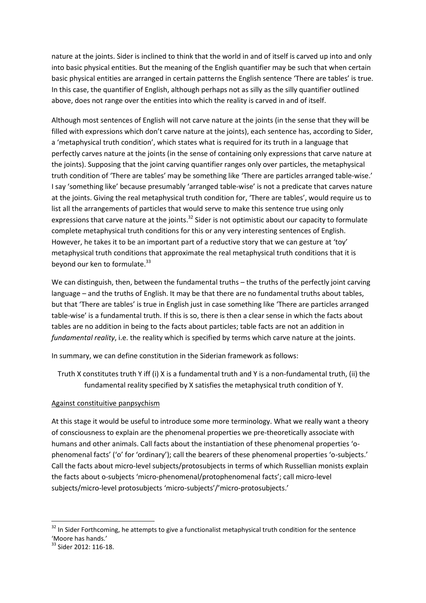nature at the joints. Sider is inclined to think that the world in and of itself is carved up into and only into basic physical entities. But the meaning of the English quantifier may be such that when certain basic physical entities are arranged in certain patterns the English sentence 'There are tables' is true. In this case, the quantifier of English, although perhaps not as silly as the silly quantifier outlined above, does not range over the entities into which the reality is carved in and of itself.

Although most sentences of English will not carve nature at the joints (in the sense that they will be filled with expressions which don't carve nature at the joints), each sentence has, according to Sider, a 'metaphysical truth condition', which states what is required for its truth in a language that perfectly carves nature at the joints (in the sense of containing only expressions that carve nature at the joints). Supposing that the joint carving quantifier ranges only over particles, the metaphysical truth condition of 'There are tables' may be something like 'There are particles arranged table-wise.' I say 'something like' because presumably 'arranged table-wise' is not a predicate that carves nature at the joints. Giving the real metaphysical truth condition for, 'There are tables', would require us to list all the arrangements of particles that would serve to make this sentence true using only expressions that carve nature at the joints.<sup>32</sup> Sider is not optimistic about our capacity to formulate complete metaphysical truth conditions for this or any very interesting sentences of English. However, he takes it to be an important part of a reductive story that we can gesture at 'toy' metaphysical truth conditions that approximate the real metaphysical truth conditions that it is beyond our ken to formulate.<sup>33</sup>

We can distinguish, then, between the fundamental truths – the truths of the perfectly joint carving language – and the truths of English. It may be that there are no fundamental truths about tables, but that 'There are tables' is true in English just in case something like 'There are particles arranged table-wise' is a fundamental truth. If this is so, there is then a clear sense in which the facts about tables are no addition in being to the facts about particles; table facts are not an addition in *fundamental reality*, i.e. the reality which is specified by terms which carve nature at the joints.

In summary, we can define constitution in the Siderian framework as follows:

Truth X constitutes truth Y iff (i) X is a fundamental truth and Y is a non-fundamental truth, (ii) the fundamental reality specified by X satisfies the metaphysical truth condition of Y.

#### Against constituitive panpsychism

At this stage it would be useful to introduce some more terminology. What we really want a theory of consciousness to explain are the phenomenal properties we pre-theoretically associate with humans and other animals. Call facts about the instantiation of these phenomenal properties 'ophenomenal facts' ('o' for 'ordinary'); call the bearers of these phenomenal properties 'o-subjects.' Call the facts about micro-level subjects/protosubjects in terms of which Russellian monists explain the facts about o-subjects 'micro-phenomenal/protophenomenal facts'; call micro-level subjects/micro-level protosubjects 'micro-subjects'/'micro-protosubjects.'

<sup>&</sup>lt;sup>32</sup> In Sider Forthcoming, he attempts to give a functionalist metaphysical truth condition for the sentence 'Moore has hands.'

<sup>33</sup> Sider 2012: 116-18.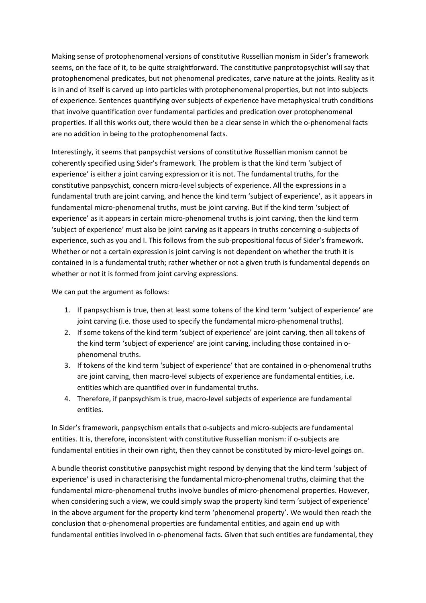Making sense of protophenomenal versions of constitutive Russellian monism in Sider's framework seems, on the face of it, to be quite straightforward. The constitutive panprotopsychist will say that protophenomenal predicates, but not phenomenal predicates, carve nature at the joints. Reality as it is in and of itself is carved up into particles with protophenomenal properties, but not into subjects of experience. Sentences quantifying over subjects of experience have metaphysical truth conditions that involve quantification over fundamental particles and predication over protophenomenal properties. If all this works out, there would then be a clear sense in which the o-phenomenal facts are no addition in being to the protophenomenal facts.

Interestingly, it seems that panpsychist versions of constitutive Russellian monism cannot be coherently specified using Sider's framework. The problem is that the kind term 'subject of experience' is either a joint carving expression or it is not. The fundamental truths, for the constitutive panpsychist, concern micro-level subjects of experience. All the expressions in a fundamental truth are joint carving, and hence the kind term 'subject of experience', as it appears in fundamental micro-phenomenal truths, must be joint carving. But if the kind term 'subject of experience' as it appears in certain micro-phenomenal truths is joint carving, then the kind term 'subject of experience' must also be joint carving as it appears in truths concerning o-subjects of experience, such as you and I. This follows from the sub-propositional focus of Sider's framework. Whether or not a certain expression is joint carving is not dependent on whether the truth it is contained in is a fundamental truth; rather whether or not a given truth is fundamental depends on whether or not it is formed from joint carving expressions.

We can put the argument as follows:

- 1. If panpsychism is true, then at least some tokens of the kind term 'subject of experience' are joint carving (i.e. those used to specify the fundamental micro-phenomenal truths).
- 2. If some tokens of the kind term 'subject of experience' are joint carving, then all tokens of the kind term 'subject of experience' are joint carving, including those contained in ophenomenal truths.
- 3. If tokens of the kind term 'subject of experience' that are contained in o-phenomenal truths are joint carving, then macro-level subjects of experience are fundamental entities, i.e. entities which are quantified over in fundamental truths.
- 4. Therefore, if panpsychism is true, macro-level subjects of experience are fundamental entities.

In Sider's framework, panpsychism entails that o-subjects and micro-subjects are fundamental entities. It is, therefore, inconsistent with constitutive Russellian monism: if o-subjects are fundamental entities in their own right, then they cannot be constituted by micro-level goings on.

A bundle theorist constitutive panpsychist might respond by denying that the kind term 'subject of experience' is used in characterising the fundamental micro-phenomenal truths, claiming that the fundamental micro-phenomenal truths involve bundles of micro-phenomenal properties. However, when considering such a view, we could simply swap the property kind term 'subject of experience' in the above argument for the property kind term 'phenomenal property'. We would then reach the conclusion that o-phenomenal properties are fundamental entities, and again end up with fundamental entities involved in o-phenomenal facts. Given that such entities are fundamental, they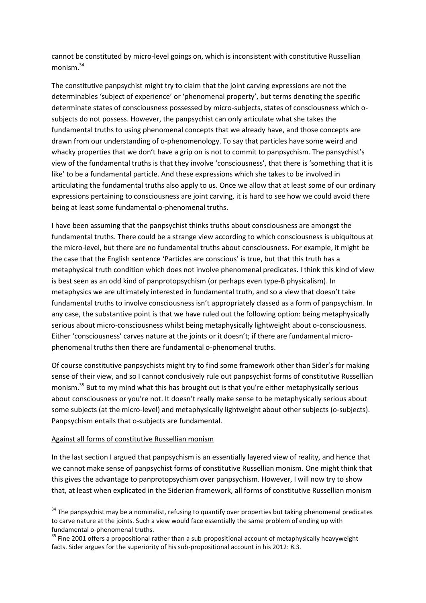cannot be constituted by micro-level goings on, which is inconsistent with constitutive Russellian monism.<sup>34</sup>

The constitutive panpsychist might try to claim that the joint carving expressions are not the determinables 'subject of experience' or 'phenomenal property', but terms denoting the specific determinate states of consciousness possessed by micro-subjects, states of consciousness which osubjects do not possess. However, the panpsychist can only articulate what she takes the fundamental truths to using phenomenal concepts that we already have, and those concepts are drawn from our understanding of o-phenomenology. To say that particles have some weird and whacky properties that we don't have a grip on is not to commit to panpsychism. The pansychist's view of the fundamental truths is that they involve 'consciousness', that there is 'something that it is like' to be a fundamental particle. And these expressions which she takes to be involved in articulating the fundamental truths also apply to us. Once we allow that at least some of our ordinary expressions pertaining to consciousness are joint carving, it is hard to see how we could avoid there being at least some fundamental o-phenomenal truths.

I have been assuming that the panpsychist thinks truths about consciousness are amongst the fundamental truths. There could be a strange view according to which consciousness is ubiquitous at the micro-level, but there are no fundamental truths about consciousness. For example, it might be the case that the English sentence 'Particles are conscious' is true, but that this truth has a metaphysical truth condition which does not involve phenomenal predicates. I think this kind of view is best seen as an odd kind of panprotopsychism (or perhaps even type-B physicalism). In metaphysics we are ultimately interested in fundamental truth, and so a view that doesn't take fundamental truths to involve consciousness isn't appropriately classed as a form of panpsychism. In any case, the substantive point is that we have ruled out the following option: being metaphysically serious about micro-consciousness whilst being metaphysically lightweight about o-consciousness. Either 'consciousness' carves nature at the joints or it doesn't; if there are fundamental microphenomenal truths then there are fundamental o-phenomenal truths.

Of course constitutive panpsychists might try to find some framework other than Sider's for making sense of their view, and so I cannot conclusively rule out panpsychist forms of constitutive Russellian monism. <sup>35</sup> But to my mind what this has brought out is that you're either metaphysically serious about consciousness or you're not. It doesn't really make sense to be metaphysically serious about some subjects (at the micro-level) and metaphysically lightweight about other subjects (o-subjects). Panpsychism entails that o-subjects are fundamental.

#### Against all forms of constitutive Russellian monism

 $\overline{a}$ 

In the last section I argued that panpsychism is an essentially layered view of reality, and hence that we cannot make sense of panpsychist forms of constitutive Russellian monism. One might think that this gives the advantage to panprotopsychism over panpsychism. However, I will now try to show that, at least when explicated in the Siderian framework, all forms of constitutive Russellian monism

<sup>&</sup>lt;sup>34</sup> The panpsychist may be a nominalist, refusing to quantify over properties but taking phenomenal predicates to carve nature at the joints. Such a view would face essentially the same problem of ending up with fundamental o-phenomenal truths.

<sup>&</sup>lt;sup>35</sup> Fine 2001 offers a propositional rather than a sub-propositional account of metaphysically heavyweight facts. Sider argues for the superiority of his sub-propositional account in his 2012: 8.3.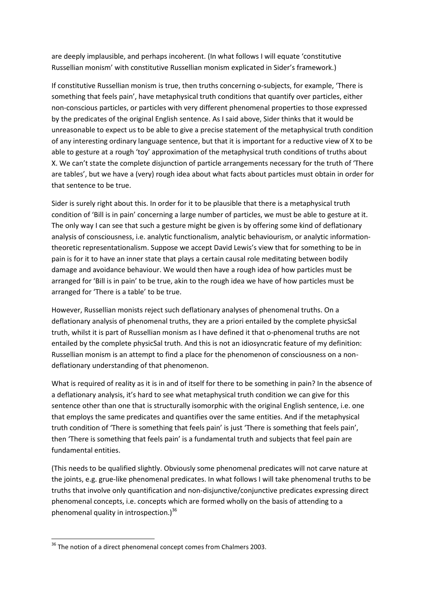are deeply implausible, and perhaps incoherent. (In what follows I will equate 'constitutive Russellian monism' with constitutive Russellian monism explicated in Sider's framework.)

If constitutive Russellian monism is true, then truths concerning o-subjects, for example, 'There is something that feels pain', have metaphysical truth conditions that quantify over particles, either non-conscious particles, or particles with very different phenomenal properties to those expressed by the predicates of the original English sentence. As I said above, Sider thinks that it would be unreasonable to expect us to be able to give a precise statement of the metaphysical truth condition of any interesting ordinary language sentence, but that it is important for a reductive view of X to be able to gesture at a rough 'toy' approximation of the metaphysical truth conditions of truths about X. We can't state the complete disjunction of particle arrangements necessary for the truth of 'There are tables', but we have a (very) rough idea about what facts about particles must obtain in order for that sentence to be true.

Sider is surely right about this. In order for it to be plausible that there is a metaphysical truth condition of 'Bill is in pain' concerning a large number of particles, we must be able to gesture at it. The only way I can see that such a gesture might be given is by offering some kind of deflationary analysis of consciousness, i.e. analytic functionalism, analytic behaviourism, or analytic informationtheoretic representationalism. Suppose we accept David Lewis's view that for something to be in pain is for it to have an inner state that plays a certain causal role meditating between bodily damage and avoidance behaviour. We would then have a rough idea of how particles must be arranged for 'Bill is in pain' to be true, akin to the rough idea we have of how particles must be arranged for 'There is a table' to be true.

However, Russellian monists reject such deflationary analyses of phenomenal truths. On a deflationary analysis of phenomenal truths, they are a priori entailed by the complete physicSal truth, whilst it is part of Russellian monism as I have defined it that o-phenomenal truths are not entailed by the complete physicSal truth. And this is not an idiosyncratic feature of my definition: Russellian monism is an attempt to find a place for the phenomenon of consciousness on a nondeflationary understanding of that phenomenon.

What is required of reality as it is in and of itself for there to be something in pain? In the absence of a deflationary analysis, it's hard to see what metaphysical truth condition we can give for this sentence other than one that is structurally isomorphic with the original English sentence, i.e. one that employs the same predicates and quantifies over the same entities. And if the metaphysical truth condition of 'There is something that feels pain' is just 'There is something that feels pain', then 'There is something that feels pain' is a fundamental truth and subjects that feel pain are fundamental entities.

(This needs to be qualified slightly. Obviously some phenomenal predicates will not carve nature at the joints, e.g. grue-like phenomenal predicates. In what follows I will take phenomenal truths to be truths that involve only quantification and non-disjunctive/conjunctive predicates expressing direct phenomenal concepts, i.e. concepts which are formed wholly on the basis of attending to a phenomenal quality in introspection.) $36$ 

**<sup>.</sup>** <sup>36</sup> The notion of a direct phenomenal concept comes from Chalmers 2003.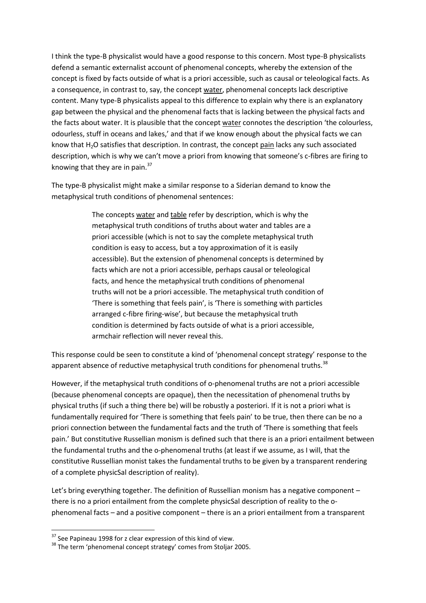I think the type-B physicalist would have a good response to this concern. Most type-B physicalists defend a semantic externalist account of phenomenal concepts, whereby the extension of the concept is fixed by facts outside of what is a priori accessible, such as causal or teleological facts. As a consequence, in contrast to, say, the concept water, phenomenal concepts lack descriptive content. Many type-B physicalists appeal to this difference to explain why there is an explanatory gap between the physical and the phenomenal facts that is lacking between the physical facts and the facts about water. It is plausible that the concept water connotes the description 'the colourless, odourless, stuff in oceans and lakes,' and that if we know enough about the physical facts we can know that H<sub>2</sub>O satisfies that description. In contrast, the concept pain lacks any such associated description, which is why we can't move a priori from knowing that someone's c-fibres are firing to knowing that they are in pain. $37$ 

The type-B physicalist might make a similar response to a Siderian demand to know the metaphysical truth conditions of phenomenal sentences:

> The concepts water and table refer by description, which is why the metaphysical truth conditions of truths about water and tables are a priori accessible (which is not to say the complete metaphysical truth condition is easy to access, but a toy approximation of it is easily accessible). But the extension of phenomenal concepts is determined by facts which are not a priori accessible, perhaps causal or teleological facts, and hence the metaphysical truth conditions of phenomenal truths will not be a priori accessible. The metaphysical truth condition of 'There is something that feels pain', is 'There is something with particles arranged c-fibre firing-wise', but because the metaphysical truth condition is determined by facts outside of what is a priori accessible, armchair reflection will never reveal this.

This response could be seen to constitute a kind of 'phenomenal concept strategy' response to the apparent absence of reductive metaphysical truth conditions for phenomenal truths.<sup>38</sup>

However, if the metaphysical truth conditions of o-phenomenal truths are not a priori accessible (because phenomenal concepts are opaque), then the necessitation of phenomenal truths by physical truths (if such a thing there be) will be robustly a posteriori. If it is not a priori what is fundamentally required for 'There is something that feels pain' to be true, then there can be no a priori connection between the fundamental facts and the truth of 'There is something that feels pain.' But constitutive Russellian monism is defined such that there is an a priori entailment between the fundamental truths and the o-phenomenal truths (at least if we assume, as I will, that the constitutive Russellian monist takes the fundamental truths to be given by a transparent rendering of a complete physicSal description of reality).

Let's bring everything together. The definition of Russellian monism has a negative component – there is no a priori entailment from the complete physicSal description of reality to the ophenomenal facts – and a positive component – there is an a priori entailment from a transparent

 $37$  See Papineau 1998 for z clear expression of this kind of view.

<sup>&</sup>lt;sup>38</sup> The term 'phenomenal concept strategy' comes from Stoljar 2005.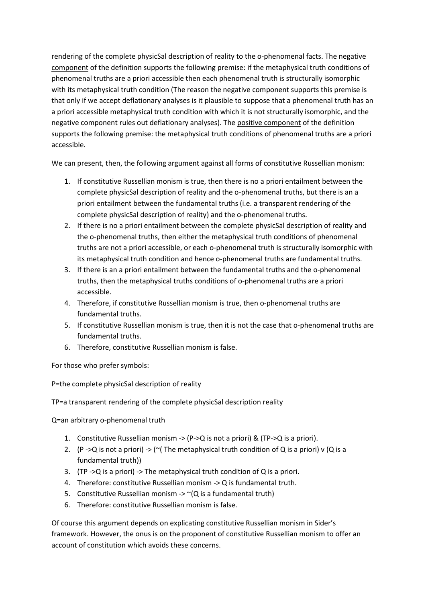rendering of the complete physicSal description of reality to the o-phenomenal facts. The negative component of the definition supports the following premise: if the metaphysical truth conditions of phenomenal truths are a priori accessible then each phenomenal truth is structurally isomorphic with its metaphysical truth condition (The reason the negative component supports this premise is that only if we accept deflationary analyses is it plausible to suppose that a phenomenal truth has an a priori accessible metaphysical truth condition with which it is not structurally isomorphic, and the negative component rules out deflationary analyses). The positive component of the definition supports the following premise: the metaphysical truth conditions of phenomenal truths are a priori accessible.

We can present, then, the following argument against all forms of constitutive Russellian monism:

- 1. If constitutive Russellian monism is true, then there is no a priori entailment between the complete physicSal description of reality and the o-phenomenal truths, but there is an a priori entailment between the fundamental truths (i.e. a transparent rendering of the complete physicSal description of reality) and the o-phenomenal truths.
- 2. If there is no a priori entailment between the complete physicSal description of reality and the o-phenomenal truths, then either the metaphysical truth conditions of phenomenal truths are not a priori accessible, or each o-phenomenal truth is structurally isomorphic with its metaphysical truth condition and hence o-phenomenal truths are fundamental truths.
- 3. If there is an a priori entailment between the fundamental truths and the o-phenomenal truths, then the metaphysical truths conditions of o-phenomenal truths are a priori accessible.
- 4. Therefore, if constitutive Russellian monism is true, then o-phenomenal truths are fundamental truths.
- 5. If constitutive Russellian monism is true, then it is not the case that o-phenomenal truths are fundamental truths.
- 6. Therefore, constitutive Russellian monism is false.

For those who prefer symbols:

P=the complete physicSal description of reality

TP=a transparent rendering of the complete physicSal description reality

Q=an arbitrary o-phenomenal truth

- 1. Constitutive Russellian monism -> (P->Q is not a priori) & (TP->Q is a priori).
- 2. (P ->Q is not a priori) -> ( $\sim$  The metaphysical truth condition of Q is a priori) v (Q is a fundamental truth))
- 3. (TP ->Q is a priori) -> The metaphysical truth condition of Q is a priori.
- 4. Therefore: constitutive Russellian monism -> Q is fundamental truth.
- 5. Constitutive Russellian monism  $\rightarrow$   $\sim$  (Q is a fundamental truth)
- 6. Therefore: constitutive Russellian monism is false.

Of course this argument depends on explicating constitutive Russellian monism in Sider's framework. However, the onus is on the proponent of constitutive Russellian monism to offer an account of constitution which avoids these concerns.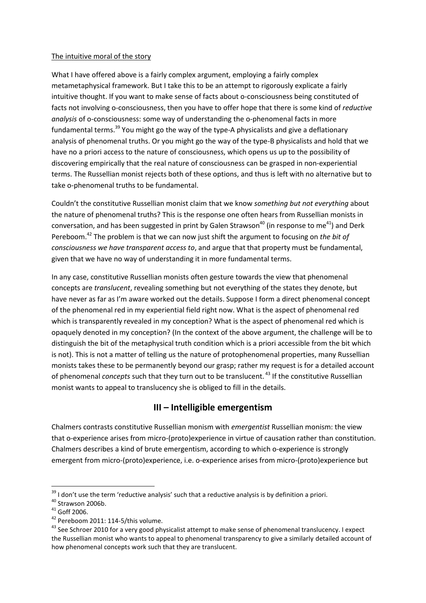#### The intuitive moral of the story

What I have offered above is a fairly complex argument, employing a fairly complex metametaphysical framework. But I take this to be an attempt to rigorously explicate a fairly intuitive thought. If you want to make sense of facts about o-consciousness being constituted of facts not involving o-consciousness, then you have to offer hope that there is some kind of *reductive analysis* of o-consciousness: some way of understanding the o-phenomenal facts in more fundamental terms.<sup>39</sup> You might go the way of the type-A physicalists and give a deflationary analysis of phenomenal truths. Or you might go the way of the type-B physicalists and hold that we have no a priori access to the nature of consciousness, which opens us up to the possibility of discovering empirically that the real nature of consciousness can be grasped in non-experiential terms. The Russellian monist rejects both of these options, and thus is left with no alternative but to take o-phenomenal truths to be fundamental.

Couldn't the constitutive Russellian monist claim that we know *something but not everything* about the nature of phenomenal truths? This is the response one often hears from Russellian monists in conversation, and has been suggested in print by Galen Strawson<sup>40</sup> (in response to me<sup>41</sup>) and Derk Pereboom.<sup>42</sup> The problem is that we can now just shift the argument to focusing on *the bit of consciousness we have transparent access to*, and argue that that property must be fundamental, given that we have no way of understanding it in more fundamental terms.

In any case, constitutive Russellian monists often gesture towards the view that phenomenal concepts are *translucent*, revealing something but not everything of the states they denote, but have never as far as I'm aware worked out the details. Suppose I form a direct phenomenal concept of the phenomenal red in my experiential field right now. What is the aspect of phenomenal red which is transparently revealed in my conception? What is the aspect of phenomenal red which is opaquely denoted in my conception? (In the context of the above argument, the challenge will be to distinguish the bit of the metaphysical truth condition which is a priori accessible from the bit which is not). This is not a matter of telling us the nature of protophenomenal properties, many Russellian monists takes these to be permanently beyond our grasp; rather my request is for a detailed account of phenomenal *concepts* such that they turn out to be translucent.<sup>43</sup> If the constitutive Russellian monist wants to appeal to translucency she is obliged to fill in the details.

### **III – Intelligible emergentism**

Chalmers contrasts constitutive Russellian monism with *emergentist* Russellian monism: the view that o-experience arises from micro-(proto)experience in virtue of causation rather than constitution. Chalmers describes a kind of brute emergentism, according to which o-experience is strongly emergent from micro-(proto)experience, i.e. o-experience arises from micro-(proto)experience but

 $\overline{a}$ 

 $39$  I don't use the term 'reductive analysis' such that a reductive analysis is by definition a priori.

<sup>40</sup> Strawson 2006b.

 $41$  Goff 2006.

<sup>42</sup> Pereboom 2011: 114-5/this volume.

<sup>&</sup>lt;sup>43</sup> See Schroer 2010 for a very good physicalist attempt to make sense of phenomenal translucency. I expect the Russellian monist who wants to appeal to phenomenal transparency to give a similarly detailed account of how phenomenal concepts work such that they are translucent.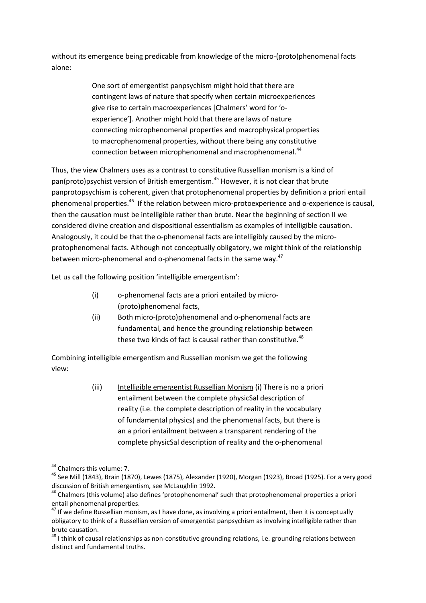without its emergence being predicable from knowledge of the micro-(proto)phenomenal facts alone:

> One sort of emergentist panpsychism might hold that there are contingent laws of nature that specify when certain microexperiences give rise to certain macroexperiences [Chalmers' word for 'oexperience']. Another might hold that there are laws of nature connecting microphenomenal properties and macrophysical properties to macrophenomenal properties, without there being any constitutive connection between microphenomenal and macrophenomenal.<sup>44</sup>

Thus, the view Chalmers uses as a contrast to constitutive Russellian monism is a kind of pan(proto)psychist version of British emergentism. <sup>45</sup> However, it is not clear that brute panprotopsychism is coherent, given that protophenomenal properties by definition a priori entail phenomenal properties.<sup>46</sup> If the relation between micro-protoexperience and o-experience is causal, then the causation must be intelligible rather than brute. Near the beginning of section II we considered divine creation and dispositional essentialism as examples of intelligible causation. Analogously, it could be that the o-phenomenal facts are intelligibly caused by the microprotophenomenal facts. Although not conceptually obligatory, we might think of the relationship between micro-phenomenal and o-phenomenal facts in the same way.<sup>47</sup>

Let us call the following position 'intelligible emergentism':

- (i) o-phenomenal facts are a priori entailed by micro- (proto)phenomenal facts,
- (ii) Both micro-(proto)phenomenal and o-phenomenal facts are fundamental, and hence the grounding relationship between these two kinds of fact is causal rather than constitutive.<sup>48</sup>

Combining intelligible emergentism and Russellian monism we get the following view:

> (iii) Intelligible emergentist Russellian Monism (i) There is no a priori entailment between the complete physicSal description of reality (i.e. the complete description of reality in the vocabulary of fundamental physics) and the phenomenal facts, but there is an a priori entailment between a transparent rendering of the complete physicSal description of reality and the o-phenomenal

<sup>&</sup>lt;sup>44</sup> Chalmers this volume: 7.

<sup>&</sup>lt;sup>45</sup> See Mill (1843), Brain (1870), Lewes (1875), Alexander (1920), Morgan (1923), Broad (1925). For a very good discussion of British emergentism, see McLaughlin 1992.

<sup>46</sup> Chalmers (this volume) also defines 'protophenomenal' such that protophenomenal properties a priori entail phenomenal properties.

 $47$  If we define Russellian monism, as I have done, as involving a priori entailment, then it is conceptually obligatory to think of a Russellian version of emergentist panpsychism as involving intelligible rather than brute causation.

<sup>&</sup>lt;sup>48</sup> I think of causal relationships as non-constitutive grounding relations, i.e. grounding relations between distinct and fundamental truths.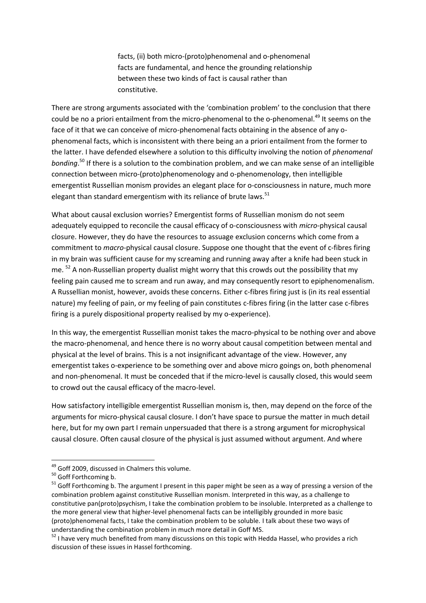facts, (ii) both micro-(proto)phenomenal and o-phenomenal facts are fundamental, and hence the grounding relationship between these two kinds of fact is causal rather than constitutive.

There are strong arguments associated with the 'combination problem' to the conclusion that there could be no a priori entailment from the micro-phenomenal to the o-phenomenal.<sup>49</sup> It seems on the face of it that we can conceive of micro-phenomenal facts obtaining in the absence of any ophenomenal facts, which is inconsistent with there being an a priori entailment from the former to the latter. I have defended elsewhere a solution to this difficulty involving the notion of *phenomenal bonding*. <sup>50</sup> If there is a solution to the combination problem, and we can make sense of an intelligible connection between micro-(proto)phenomenology and o-phenomenology, then intelligible emergentist Russellian monism provides an elegant place for o-consciousness in nature, much more elegant than standard emergentism with its reliance of brute laws.<sup>51</sup>

What about causal exclusion worries? Emergentist forms of Russellian monism do not seem adequately equipped to reconcile the causal efficacy of o-consciousness with *micro-*physical causal closure. However, they do have the resources to assuage exclusion concerns which come from a commitment to *macro-*physical causal closure. Suppose one thought that the event of c-fibres firing in my brain was sufficient cause for my screaming and running away after a knife had been stuck in me. <sup>52</sup> A non-Russellian property dualist might worry that this crowds out the possibility that my feeling pain caused me to scream and run away, and may consequently resort to epiphenomenalism. A Russellian monist, however, avoids these concerns. Either c-fibres firing just is (in its real essential nature) my feeling of pain, or my feeling of pain constitutes c-fibres firing (in the latter case c-fibres firing is a purely dispositional property realised by my o-experience).

In this way, the emergentist Russellian monist takes the macro-physical to be nothing over and above the macro-phenomenal, and hence there is no worry about causal competition between mental and physical at the level of brains. This is a not insignificant advantage of the view. However, any emergentist takes o-experience to be something over and above micro goings on, both phenomenal and non-phenomenal. It must be conceded that if the micro-level is causally closed, this would seem to crowd out the causal efficacy of the macro-level.

How satisfactory intelligible emergentist Russellian monism is, then, may depend on the force of the arguments for micro-physical causal closure. I don't have space to pursue the matter in much detail here, but for my own part I remain unpersuaded that there is a strong argument for microphysical causal closure. Often causal closure of the physical is just assumed without argument. And where

<sup>&</sup>lt;sup>49</sup> Goff 2009, discussed in Chalmers this volume.

<sup>&</sup>lt;sup>50</sup> Goff Forthcoming b.

<sup>&</sup>lt;sup>51</sup> Goff Forthcoming b. The argument I present in this paper might be seen as a way of pressing a version of the combination problem against constitutive Russellian monism. Interpreted in this way, as a challenge to constitutive pan(proto)psychism, I take the combination problem to be insoluble. Interpreted as a challenge to the more general view that higher-level phenomenal facts can be intelligibly grounded in more basic (proto)phenomenal facts, I take the combination problem to be soluble. I talk about these two ways of understanding the combination problem in much more detail in Goff MS.

<sup>&</sup>lt;sup>52</sup> I have very much benefited from many discussions on this topic with Hedda Hassel, who provides a rich discussion of these issues in Hassel forthcoming.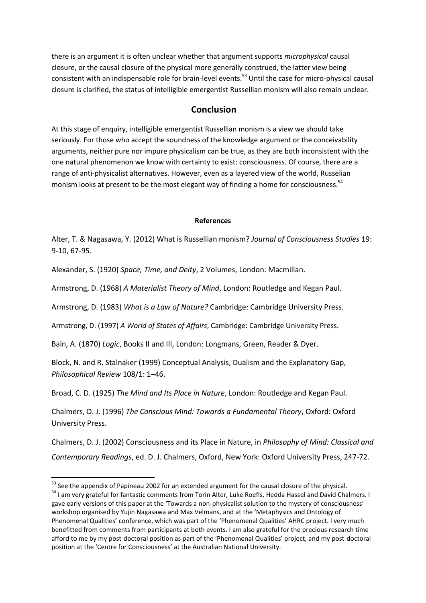there is an argument it is often unclear whether that argument supports *microphysical* causal closure, or the causal closure of the physical more generally construed, the latter view being consistent with an indispensable role for brain-level events.<sup>53</sup> Until the case for micro-physical causal closure is clarified, the status of intelligible emergentist Russellian monism will also remain unclear.

#### **Conclusion**

At this stage of enquiry, intelligible emergentist Russellian monism is a view we should take seriously. For those who accept the soundness of the knowledge argument or the conceivability arguments, neither pure nor impure physicalism can be true, as they are both inconsistent with the one natural phenomenon we know with certainty to exist: consciousness. Of course, there are a range of anti-physicalist alternatives. However, even as a layered view of the world, Russelian monism looks at present to be the most elegant way of finding a home for consciousness.<sup>54</sup>

#### **References**

Alter, T. & Nagasawa, Y. (2012) What is Russellian monism? *Journal of Consciousness Studies* 19: 9-10, 67-95.

Alexander, S. (1920) *Space, Time, and Deity*, 2 Volumes, London: Macmillan.

Armstrong, D. (1968) *A Materialist Theory of Mind*, London: Routledge and Kegan Paul.

Armstrong, D. (1983) *What is a Law of Nature?* Cambridge: Cambridge University Press.

Armstrong, D. (1997) *A World of States of Affairs*, Cambridge: Cambridge University Press.

Bain, A. (1870) *Logic*, Books II and III, London: Longmans, Green, Reader & Dyer.

Block, N. and R. Stalnaker (1999) Conceptual Analysis, Dualism and the Explanatory Gap, *Philosophical Review* 108/1: 1–46.

Broad, C. D. (1925) *The Mind and Its Place in Nature*, London: Routledge and Kegan Paul.

Chalmers, D. J. (1996) *The Conscious Mind: Towards a Fundamental Theory*, Oxford: Oxford University Press.

Chalmers, D. J. (2002) Consciousness and its Place in Nature, in *Philosophy of Mind: Classical and Contemporary Readings*, ed. D. J. Chalmers, Oxford, New York: Oxford University Press, 247-72.

 $53$  See the appendix of Papineau 2002 for an extended argument for the causal closure of the physical.

<sup>54</sup> I am very grateful for fantastic comments from Torin Alter, Luke Roefls, Hedda Hassel and David Chalmers. I gave early versions of this paper at the 'Towards a non-physicalist solution to the mystery of consciousness' workshop organised by Yujin Nagasawa and Max Velmans, and at the 'Metaphysics and Ontology of Phenomenal Qualities' conference, which was part of the 'Phenomenal Qualities' AHRC project. I very much benefitted from comments from participants at both events. I am also grateful for the precious research time afford to me by my post-doctoral position as part of the 'Phenomenal Qualities' project, and my post-doctoral position at the 'Centre for Consciousness' at the Australian National University.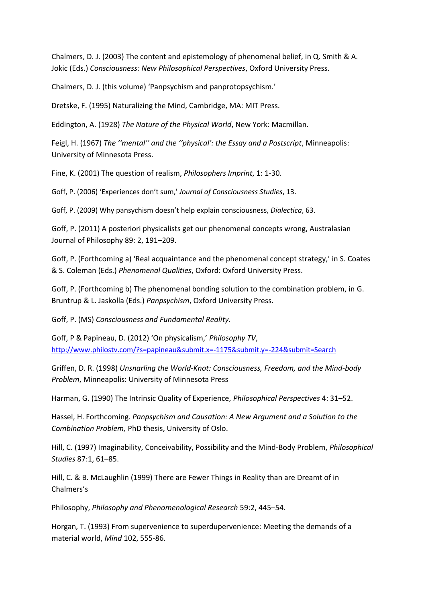Chalmers, D. J. (2003) The content and epistemology of phenomenal belief, in Q. Smith & A. Jokic (Eds.) *Consciousness: New Philosophical Perspectives*, Oxford University Press.

Chalmers, D. J. (this volume) 'Panpsychism and panprotopsychism.'

Dretske, F. (1995) Naturalizing the Mind, Cambridge, MA: MIT Press.

Eddington, A. (1928) *The Nature of the Physical World*, New York: Macmillan.

Feigl, H. (1967) *The ''mental'' and the ''physical': the Essay and a Postscript*, Minneapolis: University of Minnesota Press.

Fine, K. (2001) The question of realism, *Philosophers Imprint*, 1: 1-30.

Goff, P. (2006) 'Experiences don't sum,' *Journal of Consciousness Studies*, 13.

Goff, P. (2009) Why pansychism doesn't help explain consciousness, *Dialectica*, 63.

Goff, P. (2011) A posteriori physicalists get our phenomenal concepts wrong, Australasian Journal of Philosophy 89: 2, 191–209.

Goff, P. (Forthcoming a) 'Real acquaintance and the phenomenal concept strategy,' in S. Coates & S. Coleman (Eds.) *Phenomenal Qualities*, Oxford: Oxford University Press.

Goff, P. (Forthcoming b) The phenomenal bonding solution to the combination problem, in G. Bruntrup & L. Jaskolla (Eds.) *Panpsychism*, Oxford University Press.

Goff, P. (MS) *Consciousness and Fundamental Reality.*

Goff, P & Papineau, D. (2012) 'On physicalism,' *Philosophy TV*, <http://www.philostv.com/?s=papineau&submit.x=-1175&submit.y=-224&submit=Search>

Griffen, D. R. (1998) *Unsnarling the World-Knot: Consciousness, Freedom, and the Mind-body Problem*, Minneapolis: University of Minnesota Press

Harman, G. (1990) The Intrinsic Quality of Experience, *Philosophical Perspectives* 4: 31–52.

Hassel, H. Forthcoming. *Panpsychism and Causation: A New Argument and a Solution to the Combination Problem,* PhD thesis, University of Oslo.

Hill, C. (1997) Imaginability, Conceivability, Possibility and the Mind-Body Problem, *Philosophical Studies* 87:1, 61–85.

Hill, C. & B. McLaughlin (1999) There are Fewer Things in Reality than are Dreamt of in Chalmers's

Philosophy, *Philosophy and Phenomenological Research* 59:2, 445–54.

Horgan, T. (1993) From supervenience to superdupervenience: Meeting the demands of a material world, *Mind* 102, 555-86.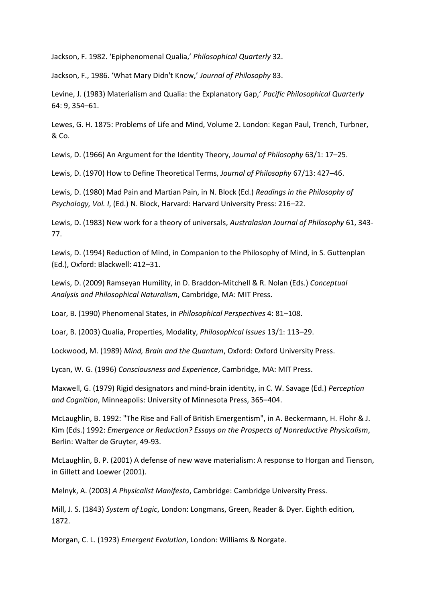Jackson, F. 1982. 'Epiphenomenal Qualia,' *Philosophical Quarterly* 32.

Jackson, F., 1986. 'What Mary Didn't Know,' *Journal of Philosophy* 83.

Levine, J. (1983) Materialism and Qualia: the Explanatory Gap,' *Pacific Philosophical Quarterly* 64: 9, 354–61.

Lewes, G. H. 1875: Problems of Life and Mind, Volume 2. London: Kegan Paul, Trench, Turbner, & Co.

Lewis, D. (1966) An Argument for the Identity Theory, *Journal of Philosophy* 63/1: 17–25.

Lewis, D. (1970) How to Define Theoretical Terms, *Journal of Philosophy* 67/13: 427–46.

Lewis, D. (1980) Mad Pain and Martian Pain, in N. Block (Ed.) *Readings in the Philosophy of Psychology, Vol. I*, (Ed.) N. Block, Harvard: Harvard University Press: 216–22.

Lewis, D. (1983) New work for a theory of universals, *Australasian Journal of Philosophy* 61, 343- 77.

Lewis, D. (1994) Reduction of Mind, in Companion to the Philosophy of Mind, in S. Guttenplan (Ed.), Oxford: Blackwell: 412–31.

Lewis, D. (2009) Ramseyan Humility, in D. Braddon-Mitchell & R. Nolan (Eds.) *Conceptual Analysis and Philosophical Naturalism*, Cambridge, MA: MIT Press.

Loar, B. (1990) Phenomenal States, in *Philosophical Perspectives* 4: 81–108.

Loar, B. (2003) Qualia, Properties, Modality, *Philosophical Issues* 13/1: 113–29.

Lockwood, M. (1989) *Mind, Brain and the Quantum*, Oxford: Oxford University Press.

Lycan, W. G. (1996) *Consciousness and Experience*, Cambridge, MA: MIT Press.

Maxwell, G. (1979) Rigid designators and mind-brain identity, in C. W. Savage (Ed.) *Perception and Cognition*, Minneapolis: University of Minnesota Press, 365–404.

McLaughlin, B. 1992: "The Rise and Fall of British Emergentism", in A. Beckermann, H. Flohr & J. Kim (Eds.) 1992: *Emergence or Reduction? Essays on the Prospects of Nonreductive Physicalism*, Berlin: Walter de Gruyter, 49-93.

McLaughlin, B. P. (2001) A defense of new wave materialism: A response to Horgan and Tienson, in Gillett and Loewer (2001).

Melnyk, A. (2003) *A Physicalist Manifesto*, Cambridge: Cambridge University Press.

Mill, J. S. (1843) *System of Logic*, London: Longmans, Green, Reader & Dyer. Eighth edition, 1872.

Morgan, C. L. (1923) *Emergent Evolution*, London: Williams & Norgate.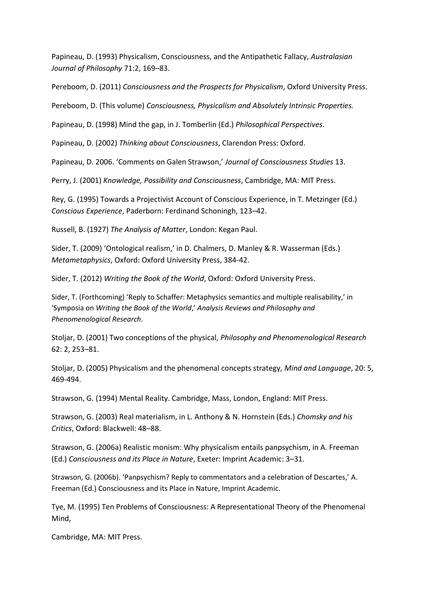Papineau, D. (1993) Physicalism, Consciousness, and the Antipathetic Fallacy, *Australasian Journal of Philosophy* 71:2, 169–83.

Pereboom, D. (2011) *Consciousness and the Prospects for Physicalism*, Oxford University Press.

Pereboom, D. (This volume) *Consciousness, Physicalism and Absolutely Intrinsic Properties.*

Papineau, D. (1998) Mind the gap, in J. Tomberlin (Ed.) *Philosophical Perspectives*.

Papineau, D. (2002) *Thinking about Consciousness*, Clarendon Press: Oxford.

Papineau, D. 2006. 'Comments on Galen Strawson,' *Journal of Consciousness Studies* 13.

Perry, J. (2001) *Knowledge, Possibility and Consciousness*, Cambridge, MA: MIT Press.

Rey, G. (1995) Towards a Projectivist Account of Conscious Experience, in T. Metzinger (Ed.) *Conscious Experience*, Paderborn: Ferdinand Schoningh, 123–42.

Russell, B. (1927) *The Analysis of Matter*, London: Kegan Paul.

Sider, T. (2009) 'Ontological realism,' in D. Chalmers, D. Manley & R. Wasserman (Eds.) *Metametaphysics*, Oxford: Oxford University Press, 384-42.

Sider, T. (2012) *Writing the Book of the World*, Oxford: Oxford University Press.

Sider, T. (Forthcoming) 'Reply to Schaffer: Metaphysics semantics and multiple realisability,' in 'Symposia on *Writing the Book of the World*,' *Analysis Reviews and Philosophy and Phenomenological Research*.

Stoljar, D. (2001) Two conceptions of the physical, *Philosophy and Phenomenological Research* 62: 2, 253–81.

Stoljar, D. (2005) Physicalism and the phenomenal concepts strategy, *Mind and Language*, 20: 5, 469-494.

Strawson, G. (1994) Mental Reality. Cambridge, Mass, London, England: MIT Press.

Strawson, G. (2003) Real materialism, in L. Anthony & N. Hornstein (Eds.) *Chomsky and his Critics*, Oxford: Blackwell: 48–88.

Strawson, G. (2006a) Realistic monism: Why physicalism entails panpsychism, in A. Freeman (Ed.) *Consciousness and its Place in Nature*, Exeter: Imprint Academic: 3–31.

Strawson, G. (2006b). 'Panpsychism? Reply to commentators and a celebration of Descartes,' A. Freeman (Ed.) Consciousness and its Place in Nature, Imprint Academic.

Tye, M. (1995) Ten Problems of Consciousness: A Representational Theory of the Phenomenal Mind,

Cambridge, MA: MIT Press.